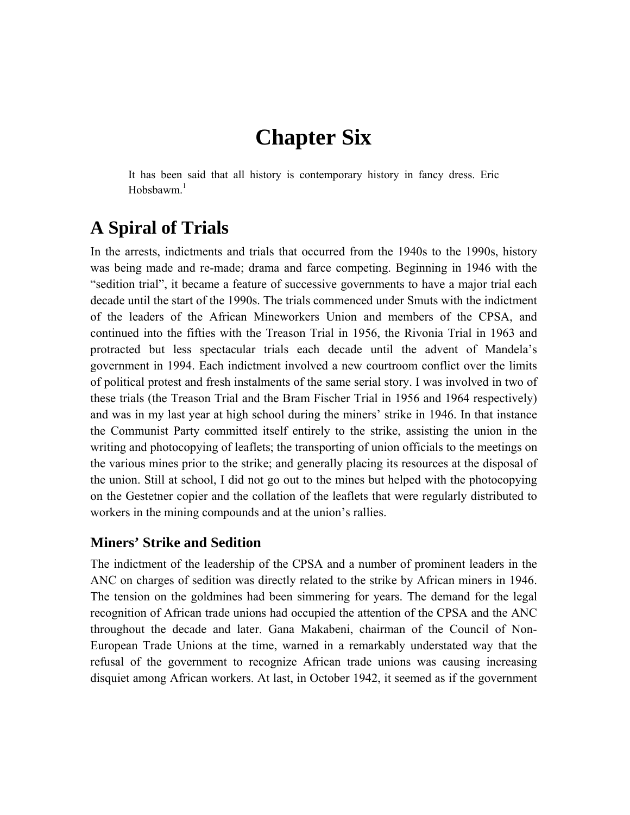# **Chapter Six**

It has been said that all history is contemporary history in fancy dress. Eric Hobsbawm.<sup>1</sup>

# **A Spiral of Trials**

In the arrests, indictments and trials that occurred from the 1940s to the 1990s, history was being made and re-made; drama and farce competing. Beginning in 1946 with the "sedition trial", it became a feature of successive governments to have a major trial each decade until the start of the 1990s. The trials commenced under Smuts with the indictment of the leaders of the African Mineworkers Union and members of the CPSA, and continued into the fifties with the Treason Trial in 1956, the Rivonia Trial in 1963 and protracted but less spectacular trials each decade until the advent of Mandela's government in 1994. Each indictment involved a new courtroom conflict over the limits of political protest and fresh instalments of the same serial story. I was involved in two of these trials (the Treason Trial and the Bram Fischer Trial in 1956 and 1964 respectively) and was in my last year at high school during the miners' strike in 1946. In that instance the Communist Party committed itself entirely to the strike, assisting the union in the writing and photocopying of leaflets; the transporting of union officials to the meetings on the various mines prior to the strike; and generally placing its resources at the disposal of the union. Still at school, I did not go out to the mines but helped with the photocopying on the Gestetner copier and the collation of the leaflets that were regularly distributed to workers in the mining compounds and at the union's rallies.

## **Miners' Strike and Sedition**

The indictment of the leadership of the CPSA and a number of prominent leaders in the ANC on charges of sedition was directly related to the strike by African miners in 1946. The tension on the goldmines had been simmering for years. The demand for the legal recognition of African trade unions had occupied the attention of the CPSA and the ANC throughout the decade and later. Gana Makabeni, chairman of the Council of Non-European Trade Unions at the time, warned in a remarkably understated way that the refusal of the government to recognize African trade unions was causing increasing disquiet among African workers. At last, in October 1942, it seemed as if the government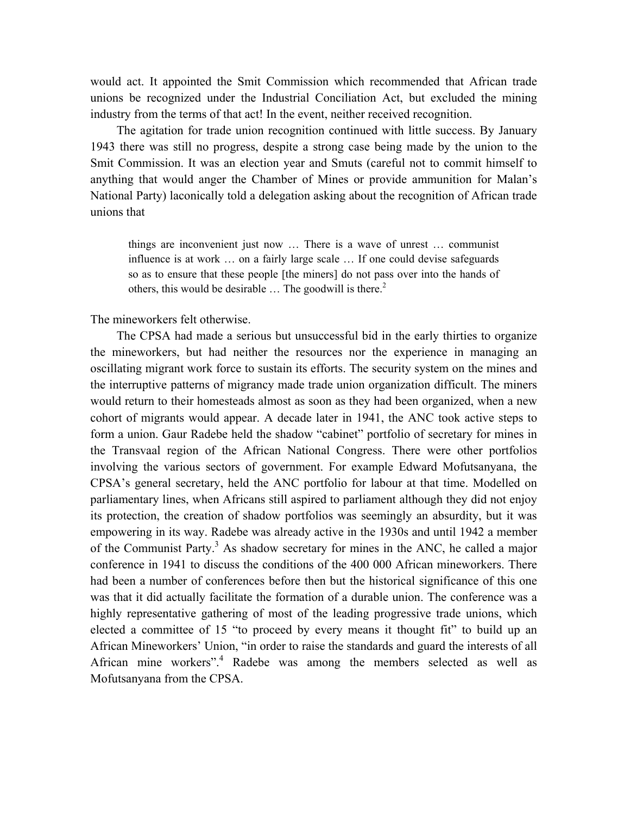would act. It appointed the Smit Commission which recommended that African trade unions be recognized under the Industrial Conciliation Act, but excluded the mining industry from the terms of that act! In the event, neither received recognition.

The agitation for trade union recognition continued with little success. By January 1943 there was still no progress, despite a strong case being made by the union to the Smit Commission. It was an election year and Smuts (careful not to commit himself to anything that would anger the Chamber of Mines or provide ammunition for Malan's National Party) laconically told a delegation asking about the recognition of African trade unions that

things are inconvenient just now … There is a wave of unrest … communist influence is at work … on a fairly large scale … If one could devise safeguards so as to ensure that these people [the miners] do not pass over into the hands of others, this would be desirable  $\ldots$  The goodwill is there.<sup>2</sup>

The mineworkers felt otherwise.

The CPSA had made a serious but unsuccessful bid in the early thirties to organize the mineworkers, but had neither the resources nor the experience in managing an oscillating migrant work force to sustain its efforts. The security system on the mines and the interruptive patterns of migrancy made trade union organization difficult. The miners would return to their homesteads almost as soon as they had been organized, when a new cohort of migrants would appear. A decade later in 1941, the ANC took active steps to form a union. Gaur Radebe held the shadow "cabinet" portfolio of secretary for mines in the Transvaal region of the African National Congress. There were other portfolios involving the various sectors of government. For example Edward Mofutsanyana, the CPSA's general secretary, held the ANC portfolio for labour at that time. Modelled on parliamentary lines, when Africans still aspired to parliament although they did not enjoy its protection, the creation of shadow portfolios was seemingly an absurdity, but it was empowering in its way. Radebe was already active in the 1930s and until 1942 a member of the Communist Party.<sup>3</sup> As shadow secretary for mines in the ANC, he called a major conference in 1941 to discuss the conditions of the 400 000 African mineworkers. There had been a number of conferences before then but the historical significance of this one was that it did actually facilitate the formation of a durable union. The conference was a highly representative gathering of most of the leading progressive trade unions, which elected a committee of 15 "to proceed by every means it thought fit" to build up an African Mineworkers' Union, "in order to raise the standards and guard the interests of all African mine workers".<sup>4</sup> Radebe was among the members selected as well as Mofutsanyana from the CPSA.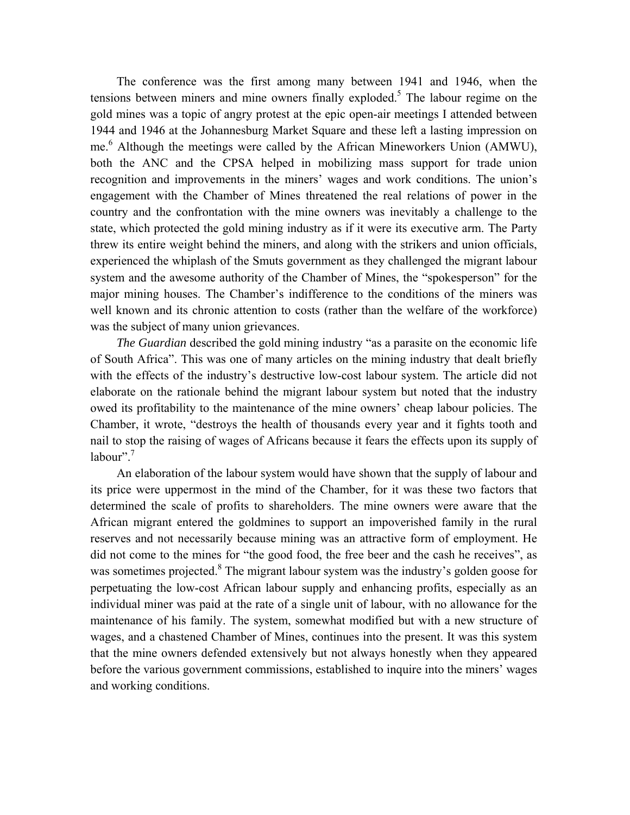The conference was the first among many between 1941 and 1946, when the tensions between miners and mine owners finally exploded.<sup>5</sup> The labour regime on the gold mines was a topic of angry protest at the epic open-air meetings I attended between 1944 and 1946 at the Johannesburg Market Square and these left a lasting impression on me.<sup>6</sup> Although the meetings were called by the African Mineworkers Union (AMWU), both the ANC and the CPSA helped in mobilizing mass support for trade union recognition and improvements in the miners' wages and work conditions. The union's engagement with the Chamber of Mines threatened the real relations of power in the country and the confrontation with the mine owners was inevitably a challenge to the state, which protected the gold mining industry as if it were its executive arm. The Party threw its entire weight behind the miners, and along with the strikers and union officials, experienced the whiplash of the Smuts government as they challenged the migrant labour system and the awesome authority of the Chamber of Mines, the "spokesperson" for the major mining houses. The Chamber's indifference to the conditions of the miners was well known and its chronic attention to costs (rather than the welfare of the workforce) was the subject of many union grievances.

*The Guardian* described the gold mining industry "as a parasite on the economic life of South Africa". This was one of many articles on the mining industry that dealt briefly with the effects of the industry's destructive low-cost labour system. The article did not elaborate on the rationale behind the migrant labour system but noted that the industry owed its profitability to the maintenance of the mine owners' cheap labour policies. The Chamber, it wrote, "destroys the health of thousands every year and it fights tooth and nail to stop the raising of wages of Africans because it fears the effects upon its supply of labour". $7$ 

An elaboration of the labour system would have shown that the supply of labour and its price were uppermost in the mind of the Chamber, for it was these two factors that determined the scale of profits to shareholders. The mine owners were aware that the African migrant entered the goldmines to support an impoverished family in the rural reserves and not necessarily because mining was an attractive form of employment. He did not come to the mines for "the good food, the free beer and the cash he receives", as was sometimes projected.<sup>8</sup> The migrant labour system was the industry's golden goose for perpetuating the low-cost African labour supply and enhancing profits, especially as an individual miner was paid at the rate of a single unit of labour, with no allowance for the maintenance of his family. The system, somewhat modified but with a new structure of wages, and a chastened Chamber of Mines, continues into the present. It was this system that the mine owners defended extensively but not always honestly when they appeared before the various government commissions, established to inquire into the miners' wages and working conditions.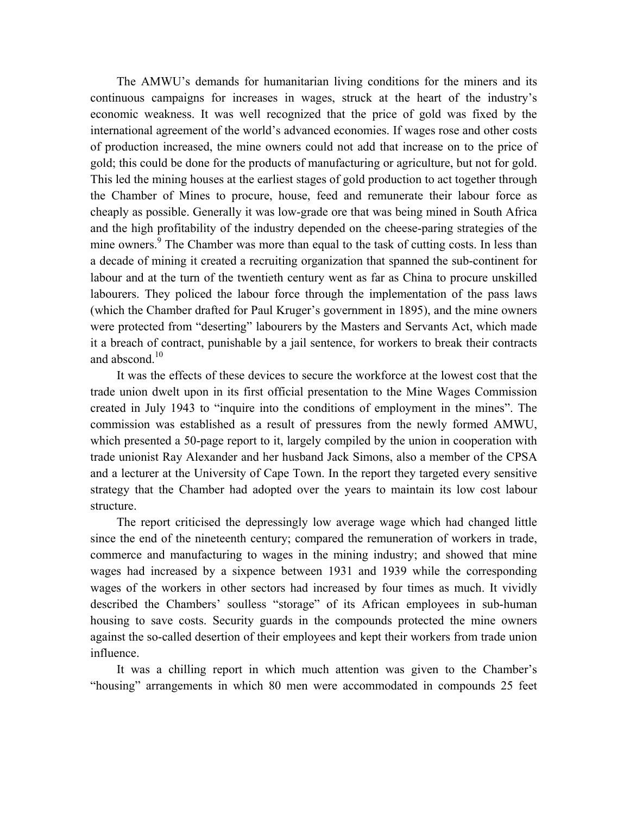The AMWU's demands for humanitarian living conditions for the miners and its continuous campaigns for increases in wages, struck at the heart of the industry's economic weakness. It was well recognized that the price of gold was fixed by the international agreement of the world's advanced economies. If wages rose and other costs of production increased, the mine owners could not add that increase on to the price of gold; this could be done for the products of manufacturing or agriculture, but not for gold. This led the mining houses at the earliest stages of gold production to act together through the Chamber of Mines to procure, house, feed and remunerate their labour force as cheaply as possible. Generally it was low-grade ore that was being mined in South Africa and the high profitability of the industry depended on the cheese-paring strategies of the mine owners.<sup>9</sup> The Chamber was more than equal to the task of cutting costs. In less than a decade of mining it created a recruiting organization that spanned the sub-continent for labour and at the turn of the twentieth century went as far as China to procure unskilled labourers. They policed the labour force through the implementation of the pass laws (which the Chamber drafted for Paul Kruger's government in 1895), and the mine owners were protected from "deserting" labourers by the Masters and Servants Act, which made it a breach of contract, punishable by a jail sentence, for workers to break their contracts and abscond  $10$ 

It was the effects of these devices to secure the workforce at the lowest cost that the trade union dwelt upon in its first official presentation to the Mine Wages Commission created in July 1943 to "inquire into the conditions of employment in the mines". The commission was established as a result of pressures from the newly formed AMWU, which presented a 50-page report to it, largely compiled by the union in cooperation with trade unionist Ray Alexander and her husband Jack Simons, also a member of the CPSA and a lecturer at the University of Cape Town. In the report they targeted every sensitive strategy that the Chamber had adopted over the years to maintain its low cost labour structure.

The report criticised the depressingly low average wage which had changed little since the end of the nineteenth century; compared the remuneration of workers in trade, commerce and manufacturing to wages in the mining industry; and showed that mine wages had increased by a sixpence between 1931 and 1939 while the corresponding wages of the workers in other sectors had increased by four times as much. It vividly described the Chambers' soulless "storage" of its African employees in sub-human housing to save costs. Security guards in the compounds protected the mine owners against the so-called desertion of their employees and kept their workers from trade union influence.

It was a chilling report in which much attention was given to the Chamber's "housing" arrangements in which 80 men were accommodated in compounds 25 feet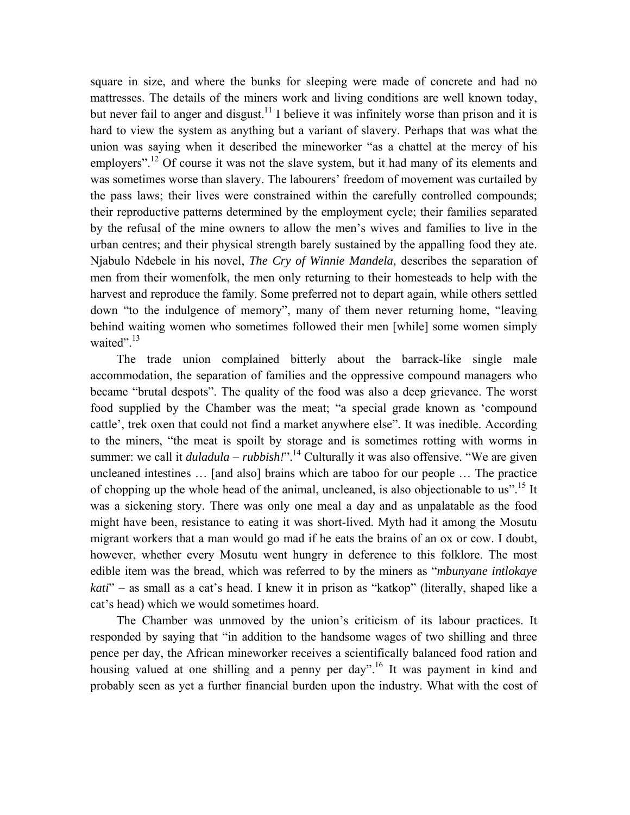square in size, and where the bunks for sleeping were made of concrete and had no mattresses. The details of the miners work and living conditions are well known today, but never fail to anger and disgust.<sup>11</sup> I believe it was infinitely worse than prison and it is hard to view the system as anything but a variant of slavery. Perhaps that was what the union was saying when it described the mineworker "as a chattel at the mercy of his employers".<sup>12</sup> Of course it was not the slave system, but it had many of its elements and was sometimes worse than slavery. The labourers' freedom of movement was curtailed by the pass laws; their lives were constrained within the carefully controlled compounds; their reproductive patterns determined by the employment cycle; their families separated by the refusal of the mine owners to allow the men's wives and families to live in the urban centres; and their physical strength barely sustained by the appalling food they ate. Njabulo Ndebele in his novel, *The Cry of Winnie Mandela,* describes the separation of men from their womenfolk, the men only returning to their homesteads to help with the harvest and reproduce the family. Some preferred not to depart again, while others settled down "to the indulgence of memory", many of them never returning home, "leaving behind waiting women who sometimes followed their men [while] some women simply waited".<sup>13</sup>

The trade union complained bitterly about the barrack-like single male accommodation, the separation of families and the oppressive compound managers who became "brutal despots". The quality of the food was also a deep grievance. The worst food supplied by the Chamber was the meat; "a special grade known as 'compound cattle', trek oxen that could not find a market anywhere else". It was inedible. According to the miners, "the meat is spoilt by storage and is sometimes rotting with worms in summer: we call it  $duladula - rubbish."$ <sup>14</sup> Culturally it was also offensive. "We are given uncleaned intestines … [and also] brains which are taboo for our people … The practice of chopping up the whole head of the animal, uncleaned, is also objectionable to us".15 It was a sickening story. There was only one meal a day and as unpalatable as the food might have been, resistance to eating it was short-lived. Myth had it among the Mosutu migrant workers that a man would go mad if he eats the brains of an ox or cow. I doubt, however, whether every Mosutu went hungry in deference to this folklore. The most edible item was the bread, which was referred to by the miners as "*mbunyane intlokaye kati*" – as small as a cat's head. I knew it in prison as "katkop" (literally, shaped like a cat's head) which we would sometimes hoard.

The Chamber was unmoved by the union's criticism of its labour practices. It responded by saying that "in addition to the handsome wages of two shilling and three pence per day, the African mineworker receives a scientifically balanced food ration and housing valued at one shilling and a penny per  $day$ <sup> $16$ </sup> It was payment in kind and probably seen as yet a further financial burden upon the industry. What with the cost of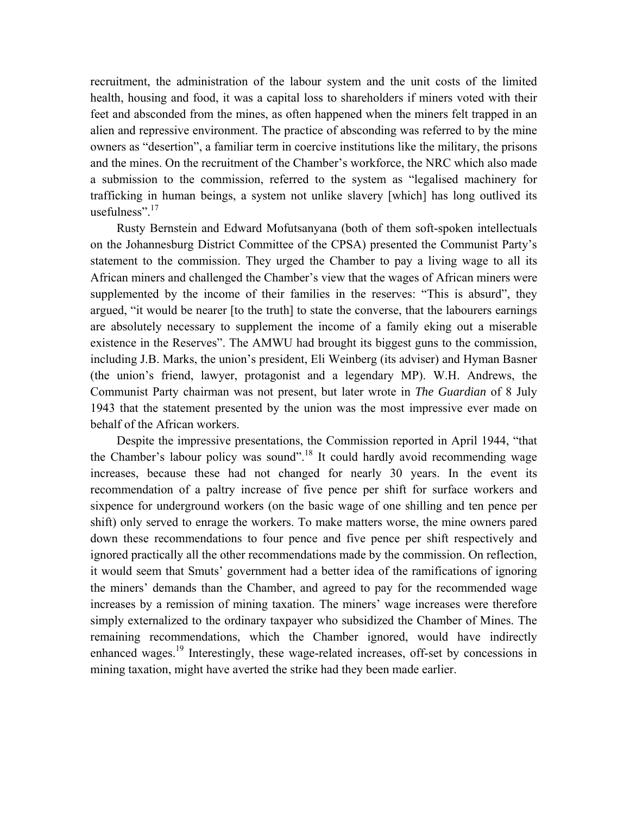recruitment, the administration of the labour system and the unit costs of the limited health, housing and food, it was a capital loss to shareholders if miners voted with their feet and absconded from the mines, as often happened when the miners felt trapped in an alien and repressive environment. The practice of absconding was referred to by the mine owners as "desertion", a familiar term in coercive institutions like the military, the prisons and the mines. On the recruitment of the Chamber's workforce, the NRC which also made a submission to the commission, referred to the system as "legalised machinery for trafficking in human beings, a system not unlike slavery [which] has long outlived its usefulness". $17$ 

Rusty Bernstein and Edward Mofutsanyana (both of them soft-spoken intellectuals on the Johannesburg District Committee of the CPSA) presented the Communist Party's statement to the commission. They urged the Chamber to pay a living wage to all its African miners and challenged the Chamber's view that the wages of African miners were supplemented by the income of their families in the reserves: "This is absurd", they argued, "it would be nearer [to the truth] to state the converse, that the labourers earnings are absolutely necessary to supplement the income of a family eking out a miserable existence in the Reserves". The AMWU had brought its biggest guns to the commission, including J.B. Marks, the union's president, Eli Weinberg (its adviser) and Hyman Basner (the union's friend, lawyer, protagonist and a legendary MP). W.H. Andrews, the Communist Party chairman was not present, but later wrote in *The Guardian* of 8 July 1943 that the statement presented by the union was the most impressive ever made on behalf of the African workers.

Despite the impressive presentations, the Commission reported in April 1944, "that the Chamber's labour policy was sound".<sup>18</sup> It could hardly avoid recommending wage increases, because these had not changed for nearly 30 years. In the event its recommendation of a paltry increase of five pence per shift for surface workers and sixpence for underground workers (on the basic wage of one shilling and ten pence per shift) only served to enrage the workers. To make matters worse, the mine owners pared down these recommendations to four pence and five pence per shift respectively and ignored practically all the other recommendations made by the commission. On reflection, it would seem that Smuts' government had a better idea of the ramifications of ignoring the miners' demands than the Chamber, and agreed to pay for the recommended wage increases by a remission of mining taxation. The miners' wage increases were therefore simply externalized to the ordinary taxpayer who subsidized the Chamber of Mines. The remaining recommendations, which the Chamber ignored, would have indirectly enhanced wages.<sup>19</sup> Interestingly, these wage-related increases, off-set by concessions in mining taxation, might have averted the strike had they been made earlier.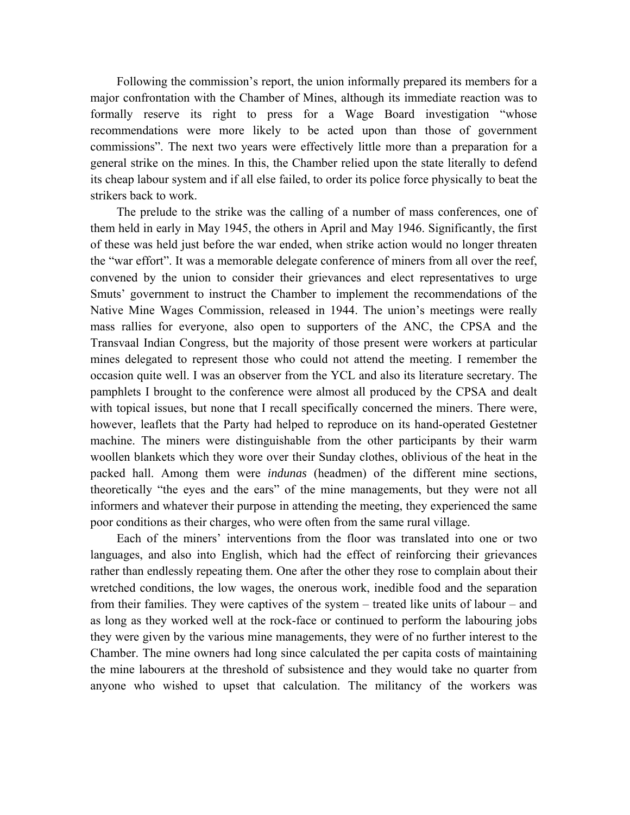Following the commission's report, the union informally prepared its members for a major confrontation with the Chamber of Mines, although its immediate reaction was to formally reserve its right to press for a Wage Board investigation "whose recommendations were more likely to be acted upon than those of government commissions". The next two years were effectively little more than a preparation for a general strike on the mines. In this, the Chamber relied upon the state literally to defend its cheap labour system and if all else failed, to order its police force physically to beat the strikers back to work.

The prelude to the strike was the calling of a number of mass conferences, one of them held in early in May 1945, the others in April and May 1946. Significantly, the first of these was held just before the war ended, when strike action would no longer threaten the "war effort". It was a memorable delegate conference of miners from all over the reef, convened by the union to consider their grievances and elect representatives to urge Smuts' government to instruct the Chamber to implement the recommendations of the Native Mine Wages Commission, released in 1944. The union's meetings were really mass rallies for everyone, also open to supporters of the ANC, the CPSA and the Transvaal Indian Congress, but the majority of those present were workers at particular mines delegated to represent those who could not attend the meeting. I remember the occasion quite well. I was an observer from the YCL and also its literature secretary. The pamphlets I brought to the conference were almost all produced by the CPSA and dealt with topical issues, but none that I recall specifically concerned the miners. There were, however, leaflets that the Party had helped to reproduce on its hand-operated Gestetner machine. The miners were distinguishable from the other participants by their warm woollen blankets which they wore over their Sunday clothes, oblivious of the heat in the packed hall. Among them were *indunas* (headmen) of the different mine sections, theoretically "the eyes and the ears" of the mine managements, but they were not all informers and whatever their purpose in attending the meeting, they experienced the same poor conditions as their charges, who were often from the same rural village.

Each of the miners' interventions from the floor was translated into one or two languages, and also into English, which had the effect of reinforcing their grievances rather than endlessly repeating them. One after the other they rose to complain about their wretched conditions, the low wages, the onerous work, inedible food and the separation from their families. They were captives of the system – treated like units of labour – and as long as they worked well at the rock-face or continued to perform the labouring jobs they were given by the various mine managements, they were of no further interest to the Chamber. The mine owners had long since calculated the per capita costs of maintaining the mine labourers at the threshold of subsistence and they would take no quarter from anyone who wished to upset that calculation. The militancy of the workers was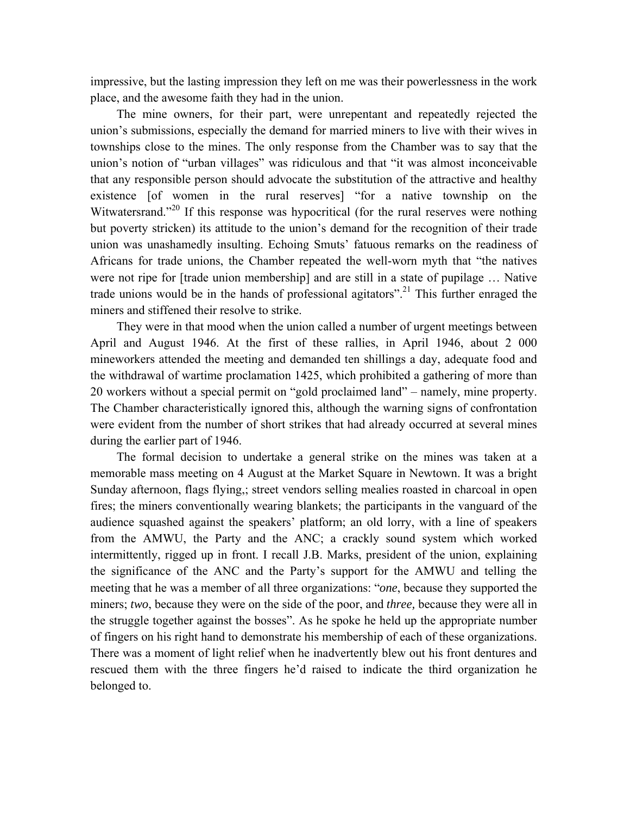impressive, but the lasting impression they left on me was their powerlessness in the work place, and the awesome faith they had in the union.

The mine owners, for their part, were unrepentant and repeatedly rejected the union's submissions, especially the demand for married miners to live with their wives in townships close to the mines. The only response from the Chamber was to say that the union's notion of "urban villages" was ridiculous and that "it was almost inconceivable that any responsible person should advocate the substitution of the attractive and healthy existence [of women in the rural reserves] "for a native township on the Witwatersrand."<sup>20</sup> If this response was hypocritical (for the rural reserves were nothing but poverty stricken) its attitude to the union's demand for the recognition of their trade union was unashamedly insulting. Echoing Smuts' fatuous remarks on the readiness of Africans for trade unions, the Chamber repeated the well-worn myth that "the natives were not ripe for [trade union membership] and are still in a state of pupilage … Native trade unions would be in the hands of professional agitators".<sup>21</sup> This further enraged the miners and stiffened their resolve to strike.

They were in that mood when the union called a number of urgent meetings between April and August 1946. At the first of these rallies, in April 1946, about 2 000 mineworkers attended the meeting and demanded ten shillings a day, adequate food and the withdrawal of wartime proclamation 1425, which prohibited a gathering of more than 20 workers without a special permit on "gold proclaimed land" – namely, mine property. The Chamber characteristically ignored this, although the warning signs of confrontation were evident from the number of short strikes that had already occurred at several mines during the earlier part of 1946.

The formal decision to undertake a general strike on the mines was taken at a memorable mass meeting on 4 August at the Market Square in Newtown. It was a bright Sunday afternoon, flags flying,; street vendors selling mealies roasted in charcoal in open fires; the miners conventionally wearing blankets; the participants in the vanguard of the audience squashed against the speakers' platform; an old lorry, with a line of speakers from the AMWU, the Party and the ANC; a crackly sound system which worked intermittently, rigged up in front. I recall J.B. Marks, president of the union, explaining the significance of the ANC and the Party's support for the AMWU and telling the meeting that he was a member of all three organizations: "*one*, because they supported the miners; *two*, because they were on the side of the poor, and *three,* because they were all in the struggle together against the bosses". As he spoke he held up the appropriate number of fingers on his right hand to demonstrate his membership of each of these organizations. There was a moment of light relief when he inadvertently blew out his front dentures and rescued them with the three fingers he'd raised to indicate the third organization he belonged to.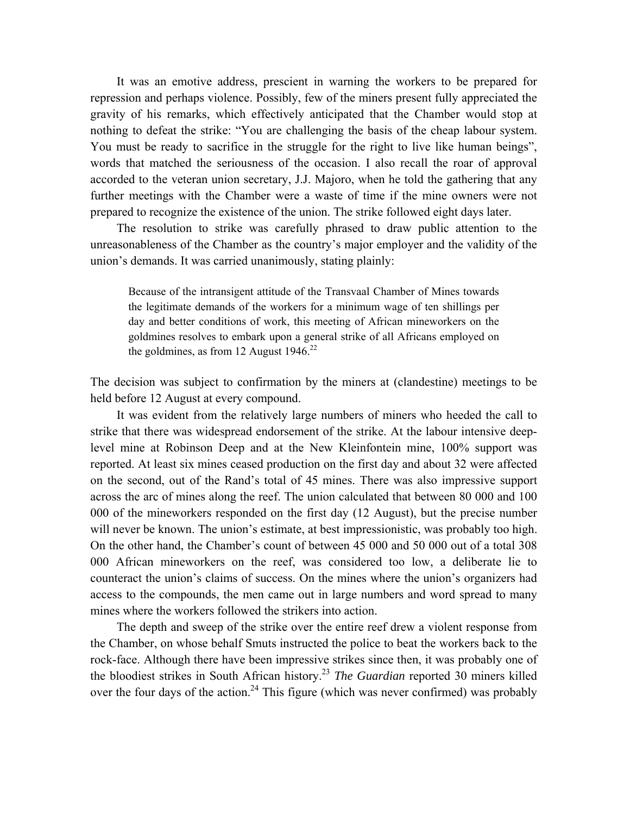It was an emotive address, prescient in warning the workers to be prepared for repression and perhaps violence. Possibly, few of the miners present fully appreciated the gravity of his remarks, which effectively anticipated that the Chamber would stop at nothing to defeat the strike: "You are challenging the basis of the cheap labour system. You must be ready to sacrifice in the struggle for the right to live like human beings", words that matched the seriousness of the occasion. I also recall the roar of approval accorded to the veteran union secretary, J.J. Majoro, when he told the gathering that any further meetings with the Chamber were a waste of time if the mine owners were not prepared to recognize the existence of the union. The strike followed eight days later.

The resolution to strike was carefully phrased to draw public attention to the unreasonableness of the Chamber as the country's major employer and the validity of the union's demands. It was carried unanimously, stating plainly:

Because of the intransigent attitude of the Transvaal Chamber of Mines towards the legitimate demands of the workers for a minimum wage of ten shillings per day and better conditions of work, this meeting of African mineworkers on the goldmines resolves to embark upon a general strike of all Africans employed on the goldmines, as from 12 August  $1946$ <sup>22</sup>

The decision was subject to confirmation by the miners at (clandestine) meetings to be held before 12 August at every compound.

It was evident from the relatively large numbers of miners who heeded the call to strike that there was widespread endorsement of the strike. At the labour intensive deeplevel mine at Robinson Deep and at the New Kleinfontein mine, 100% support was reported. At least six mines ceased production on the first day and about 32 were affected on the second, out of the Rand's total of 45 mines. There was also impressive support across the arc of mines along the reef. The union calculated that between 80 000 and 100 000 of the mineworkers responded on the first day (12 August), but the precise number will never be known. The union's estimate, at best impressionistic, was probably too high. On the other hand, the Chamber's count of between 45 000 and 50 000 out of a total 308 000 African mineworkers on the reef, was considered too low, a deliberate lie to counteract the union's claims of success. On the mines where the union's organizers had access to the compounds, the men came out in large numbers and word spread to many mines where the workers followed the strikers into action.

The depth and sweep of the strike over the entire reef drew a violent response from the Chamber, on whose behalf Smuts instructed the police to beat the workers back to the rock-face. Although there have been impressive strikes since then, it was probably one of the bloodiest strikes in South African history.23 *The Guardian* reported 30 miners killed over the four days of the action.<sup>24</sup> This figure (which was never confirmed) was probably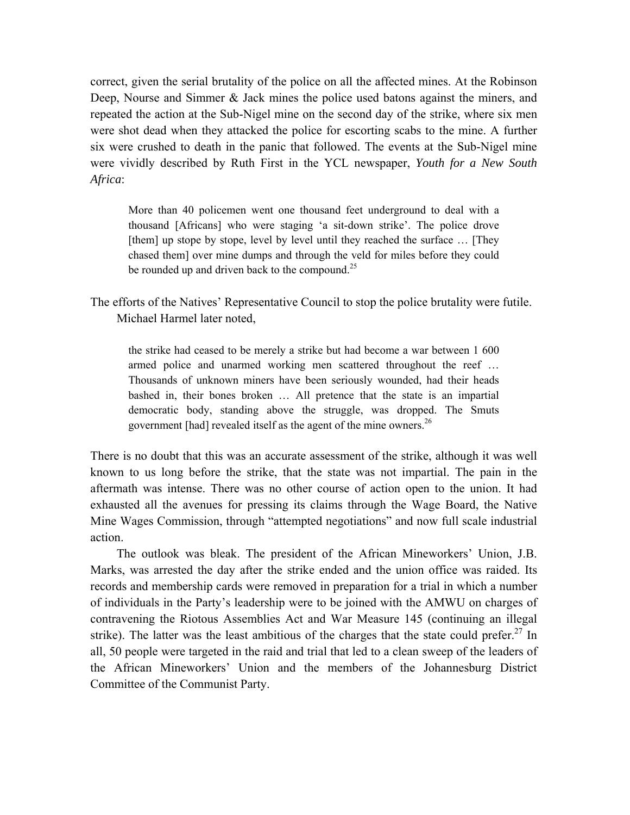correct, given the serial brutality of the police on all the affected mines. At the Robinson Deep, Nourse and Simmer & Jack mines the police used batons against the miners, and repeated the action at the Sub-Nigel mine on the second day of the strike, where six men were shot dead when they attacked the police for escorting scabs to the mine. A further six were crushed to death in the panic that followed. The events at the Sub-Nigel mine were vividly described by Ruth First in the YCL newspaper, *Youth for a New South Africa*:

More than 40 policemen went one thousand feet underground to deal with a thousand [Africans] who were staging 'a sit-down strike'. The police drove [them] up stope by stope, level by level until they reached the surface ... [They chased them] over mine dumps and through the veld for miles before they could be rounded up and driven back to the compound.<sup>25</sup>

The efforts of the Natives' Representative Council to stop the police brutality were futile. Michael Harmel later noted,

the strike had ceased to be merely a strike but had become a war between 1 600 armed police and unarmed working men scattered throughout the reef … Thousands of unknown miners have been seriously wounded, had their heads bashed in, their bones broken … All pretence that the state is an impartial democratic body, standing above the struggle, was dropped. The Smuts government [had] revealed itself as the agent of the mine owners.<sup>26</sup>

There is no doubt that this was an accurate assessment of the strike, although it was well known to us long before the strike, that the state was not impartial. The pain in the aftermath was intense. There was no other course of action open to the union. It had exhausted all the avenues for pressing its claims through the Wage Board, the Native Mine Wages Commission, through "attempted negotiations" and now full scale industrial action.

The outlook was bleak. The president of the African Mineworkers' Union, J.B. Marks, was arrested the day after the strike ended and the union office was raided. Its records and membership cards were removed in preparation for a trial in which a number of individuals in the Party's leadership were to be joined with the AMWU on charges of contravening the Riotous Assemblies Act and War Measure 145 (continuing an illegal strike). The latter was the least ambitious of the charges that the state could prefer.<sup>27</sup> In all, 50 people were targeted in the raid and trial that led to a clean sweep of the leaders of the African Mineworkers' Union and the members of the Johannesburg District Committee of the Communist Party.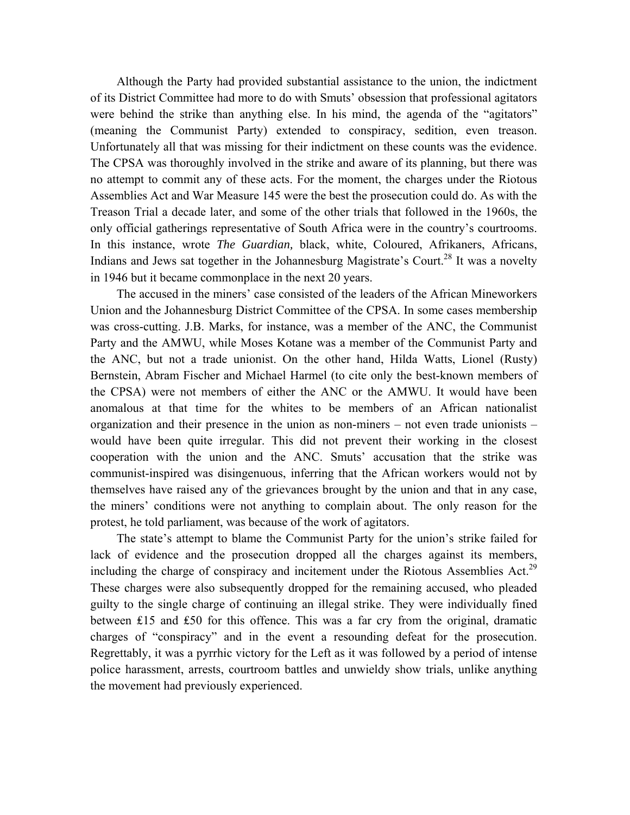Although the Party had provided substantial assistance to the union, the indictment of its District Committee had more to do with Smuts' obsession that professional agitators were behind the strike than anything else. In his mind, the agenda of the "agitators" (meaning the Communist Party) extended to conspiracy, sedition, even treason. Unfortunately all that was missing for their indictment on these counts was the evidence. The CPSA was thoroughly involved in the strike and aware of its planning, but there was no attempt to commit any of these acts. For the moment, the charges under the Riotous Assemblies Act and War Measure 145 were the best the prosecution could do. As with the Treason Trial a decade later, and some of the other trials that followed in the 1960s, the only official gatherings representative of South Africa were in the country's courtrooms. In this instance, wrote *The Guardian,* black, white, Coloured, Afrikaners, Africans, Indians and Jews sat together in the Johannesburg Magistrate's Court.<sup>28</sup> It was a novelty in 1946 but it became commonplace in the next 20 years.

The accused in the miners' case consisted of the leaders of the African Mineworkers Union and the Johannesburg District Committee of the CPSA. In some cases membership was cross-cutting. J.B. Marks, for instance, was a member of the ANC, the Communist Party and the AMWU, while Moses Kotane was a member of the Communist Party and the ANC, but not a trade unionist. On the other hand, Hilda Watts, Lionel (Rusty) Bernstein, Abram Fischer and Michael Harmel (to cite only the best-known members of the CPSA) were not members of either the ANC or the AMWU. It would have been anomalous at that time for the whites to be members of an African nationalist organization and their presence in the union as non-miners – not even trade unionists – would have been quite irregular. This did not prevent their working in the closest cooperation with the union and the ANC. Smuts' accusation that the strike was communist-inspired was disingenuous, inferring that the African workers would not by themselves have raised any of the grievances brought by the union and that in any case, the miners' conditions were not anything to complain about. The only reason for the protest, he told parliament, was because of the work of agitators.

The state's attempt to blame the Communist Party for the union's strike failed for lack of evidence and the prosecution dropped all the charges against its members, including the charge of conspiracy and incitement under the Riotous Assemblies Act.<sup>29</sup> These charges were also subsequently dropped for the remaining accused, who pleaded guilty to the single charge of continuing an illegal strike. They were individually fined between ₤15 and ₤50 for this offence. This was a far cry from the original, dramatic charges of "conspiracy" and in the event a resounding defeat for the prosecution. Regrettably, it was a pyrrhic victory for the Left as it was followed by a period of intense police harassment, arrests, courtroom battles and unwieldy show trials, unlike anything the movement had previously experienced.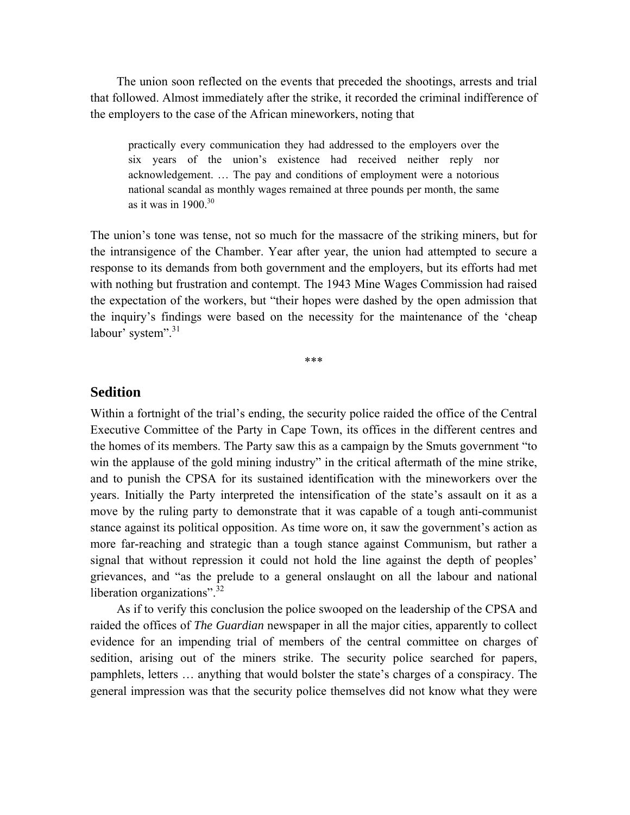The union soon reflected on the events that preceded the shootings, arrests and trial that followed. Almost immediately after the strike, it recorded the criminal indifference of the employers to the case of the African mineworkers, noting that

practically every communication they had addressed to the employers over the six years of the union's existence had received neither reply nor acknowledgement. … The pay and conditions of employment were a notorious national scandal as monthly wages remained at three pounds per month, the same as it was in  $1900^{30}$ 

The union's tone was tense, not so much for the massacre of the striking miners, but for the intransigence of the Chamber. Year after year, the union had attempted to secure a response to its demands from both government and the employers, but its efforts had met with nothing but frustration and contempt. The 1943 Mine Wages Commission had raised the expectation of the workers, but "their hopes were dashed by the open admission that the inquiry's findings were based on the necessity for the maintenance of the 'cheap labour' system".<sup>31</sup>

\*\*\*

#### **Sedition**

Within a fortnight of the trial's ending, the security police raided the office of the Central Executive Committee of the Party in Cape Town, its offices in the different centres and the homes of its members. The Party saw this as a campaign by the Smuts government "to win the applause of the gold mining industry" in the critical aftermath of the mine strike, and to punish the CPSA for its sustained identification with the mineworkers over the years. Initially the Party interpreted the intensification of the state's assault on it as a move by the ruling party to demonstrate that it was capable of a tough anti-communist stance against its political opposition. As time wore on, it saw the government's action as more far-reaching and strategic than a tough stance against Communism, but rather a signal that without repression it could not hold the line against the depth of peoples' grievances, and "as the prelude to a general onslaught on all the labour and national liberation organizations".<sup>32</sup>

As if to verify this conclusion the police swooped on the leadership of the CPSA and raided the offices of *The Guardian* newspaper in all the major cities, apparently to collect evidence for an impending trial of members of the central committee on charges of sedition, arising out of the miners strike. The security police searched for papers, pamphlets, letters … anything that would bolster the state's charges of a conspiracy. The general impression was that the security police themselves did not know what they were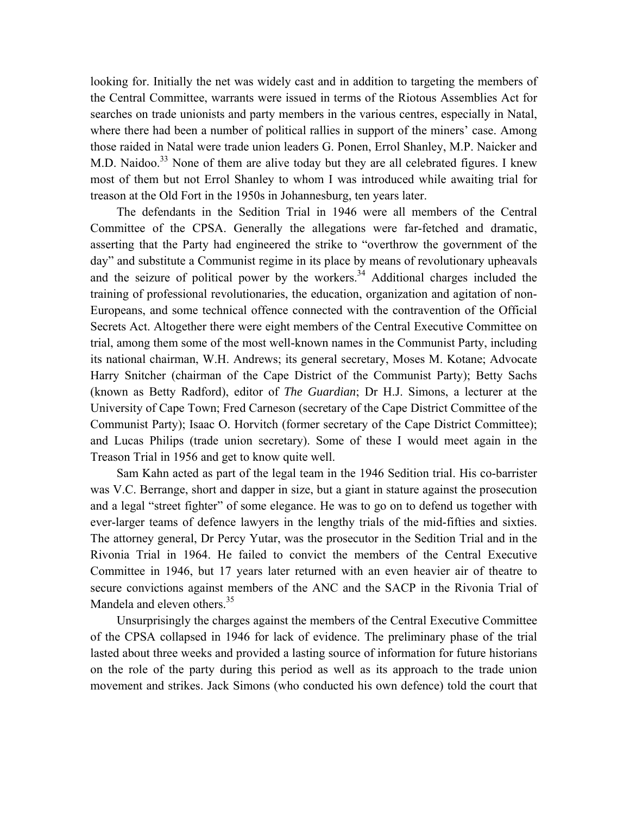looking for. Initially the net was widely cast and in addition to targeting the members of the Central Committee, warrants were issued in terms of the Riotous Assemblies Act for searches on trade unionists and party members in the various centres, especially in Natal, where there had been a number of political rallies in support of the miners' case. Among those raided in Natal were trade union leaders G. Ponen, Errol Shanley, M.P. Naicker and M.D. Naidoo.<sup>33</sup> None of them are alive today but they are all celebrated figures. I knew most of them but not Errol Shanley to whom I was introduced while awaiting trial for treason at the Old Fort in the 1950s in Johannesburg, ten years later.

The defendants in the Sedition Trial in 1946 were all members of the Central Committee of the CPSA. Generally the allegations were far-fetched and dramatic, asserting that the Party had engineered the strike to "overthrow the government of the day" and substitute a Communist regime in its place by means of revolutionary upheavals and the seizure of political power by the workers.<sup>34</sup> Additional charges included the training of professional revolutionaries, the education, organization and agitation of non-Europeans, and some technical offence connected with the contravention of the Official Secrets Act. Altogether there were eight members of the Central Executive Committee on trial, among them some of the most well-known names in the Communist Party, including its national chairman, W.H. Andrews; its general secretary, Moses M. Kotane; Advocate Harry Snitcher (chairman of the Cape District of the Communist Party); Betty Sachs (known as Betty Radford), editor of *The Guardian*; Dr H.J. Simons, a lecturer at the University of Cape Town; Fred Carneson (secretary of the Cape District Committee of the Communist Party); Isaac O. Horvitch (former secretary of the Cape District Committee); and Lucas Philips (trade union secretary). Some of these I would meet again in the Treason Trial in 1956 and get to know quite well.

Sam Kahn acted as part of the legal team in the 1946 Sedition trial. His co-barrister was V.C. Berrange, short and dapper in size, but a giant in stature against the prosecution and a legal "street fighter" of some elegance. He was to go on to defend us together with ever-larger teams of defence lawyers in the lengthy trials of the mid-fifties and sixties. The attorney general, Dr Percy Yutar, was the prosecutor in the Sedition Trial and in the Rivonia Trial in 1964. He failed to convict the members of the Central Executive Committee in 1946, but 17 years later returned with an even heavier air of theatre to secure convictions against members of the ANC and the SACP in the Rivonia Trial of Mandela and eleven others.<sup>35</sup>

Unsurprisingly the charges against the members of the Central Executive Committee of the CPSA collapsed in 1946 for lack of evidence. The preliminary phase of the trial lasted about three weeks and provided a lasting source of information for future historians on the role of the party during this period as well as its approach to the trade union movement and strikes. Jack Simons (who conducted his own defence) told the court that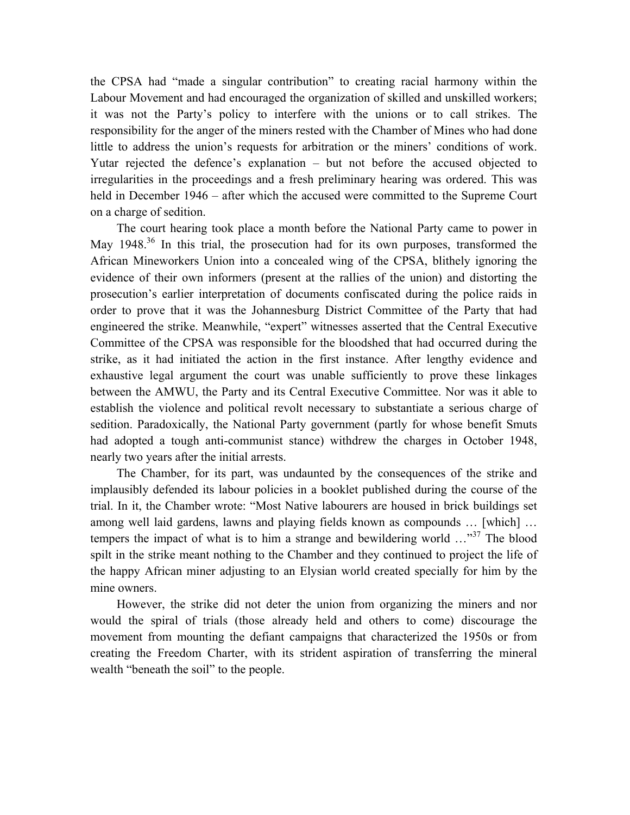the CPSA had "made a singular contribution" to creating racial harmony within the Labour Movement and had encouraged the organization of skilled and unskilled workers; it was not the Party's policy to interfere with the unions or to call strikes. The responsibility for the anger of the miners rested with the Chamber of Mines who had done little to address the union's requests for arbitration or the miners' conditions of work. Yutar rejected the defence's explanation – but not before the accused objected to irregularities in the proceedings and a fresh preliminary hearing was ordered. This was held in December 1946 – after which the accused were committed to the Supreme Court on a charge of sedition.

The court hearing took place a month before the National Party came to power in May  $1948<sup>36</sup>$  In this trial, the prosecution had for its own purposes, transformed the African Mineworkers Union into a concealed wing of the CPSA, blithely ignoring the evidence of their own informers (present at the rallies of the union) and distorting the prosecution's earlier interpretation of documents confiscated during the police raids in order to prove that it was the Johannesburg District Committee of the Party that had engineered the strike. Meanwhile, "expert" witnesses asserted that the Central Executive Committee of the CPSA was responsible for the bloodshed that had occurred during the strike, as it had initiated the action in the first instance. After lengthy evidence and exhaustive legal argument the court was unable sufficiently to prove these linkages between the AMWU, the Party and its Central Executive Committee. Nor was it able to establish the violence and political revolt necessary to substantiate a serious charge of sedition. Paradoxically, the National Party government (partly for whose benefit Smuts had adopted a tough anti-communist stance) withdrew the charges in October 1948, nearly two years after the initial arrests.

The Chamber, for its part, was undaunted by the consequences of the strike and implausibly defended its labour policies in a booklet published during the course of the trial. In it, the Chamber wrote: "Most Native labourers are housed in brick buildings set among well laid gardens, lawns and playing fields known as compounds … [which] … tempers the impact of what is to him a strange and bewildering world ..."<sup>37</sup> The blood spilt in the strike meant nothing to the Chamber and they continued to project the life of the happy African miner adjusting to an Elysian world created specially for him by the mine owners.

However, the strike did not deter the union from organizing the miners and nor would the spiral of trials (those already held and others to come) discourage the movement from mounting the defiant campaigns that characterized the 1950s or from creating the Freedom Charter, with its strident aspiration of transferring the mineral wealth "beneath the soil" to the people.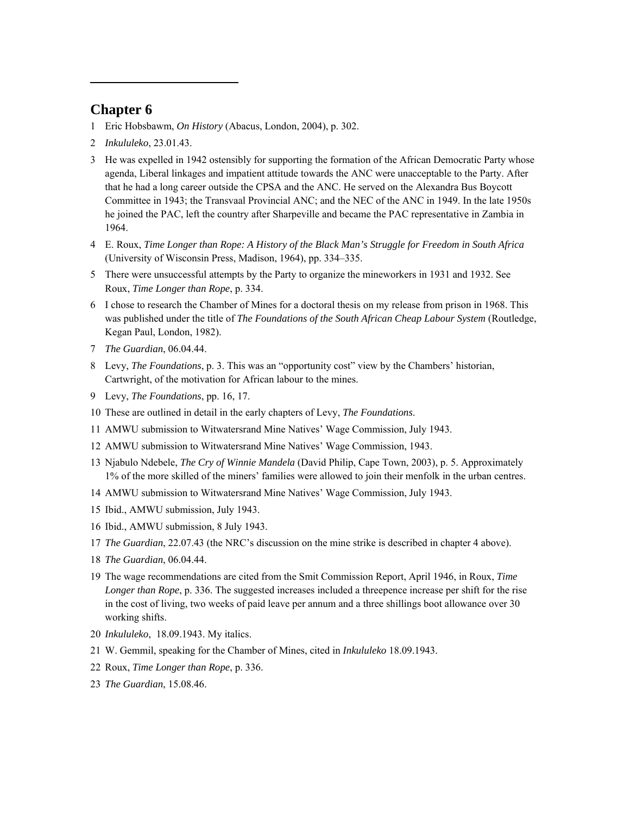### **Chapter 6**

 $\overline{a}$ 

- 1 Eric Hobsbawm, *On History* (Abacus, London, 2004), p. 302.
- 2 *Inkululeko*, 23.01.43.
- 3 He was expelled in 1942 ostensibly for supporting the formation of the African Democratic Party whose agenda, Liberal linkages and impatient attitude towards the ANC were unacceptable to the Party. After that he had a long career outside the CPSA and the ANC. He served on the Alexandra Bus Boycott Committee in 1943; the Transvaal Provincial ANC; and the NEC of the ANC in 1949. In the late 1950s he joined the PAC, left the country after Sharpeville and became the PAC representative in Zambia in 1964.
- 4 E. Roux, *Time Longer than Rope: A History of the Black Man's Struggle for Freedom in South Africa* (University of Wisconsin Press, Madison, 1964), pp. 334–335.
- 5 There were unsuccessful attempts by the Party to organize the mineworkers in 1931 and 1932. See Roux, *Time Longer than Rope*, p. 334.
- 6 I chose to research the Chamber of Mines for a doctoral thesis on my release from prison in 1968. This was published under the title of *The Foundations of the South African Cheap Labour System* (Routledge, Kegan Paul, London, 1982).
- 7 *The Guardian*, 06.04.44.
- 8 Levy, *The Foundations*, p. 3. This was an "opportunity cost" view by the Chambers' historian, Cartwright, of the motivation for African labour to the mines.
- 9 Levy, *The Foundations*, pp. 16, 17.
- 10 These are outlined in detail in the early chapters of Levy, *The Foundations*.
- 11 AMWU submission to Witwatersrand Mine Natives' Wage Commission, July 1943.
- 12 AMWU submission to Witwatersrand Mine Natives' Wage Commission, 1943.
- 13 Njabulo Ndebele, *The Cry of Winnie Mandela* (David Philip, Cape Town, 2003), p. 5. Approximately 1% of the more skilled of the miners' families were allowed to join their menfolk in the urban centres.
- 14 AMWU submission to Witwatersrand Mine Natives' Wage Commission, July 1943.
- 15 Ibid., AMWU submission, July 1943.
- 16 Ibid., AMWU submission, 8 July 1943.
- 17 *The Guardian*, 22.07.43 (the NRC's discussion on the mine strike is described in chapter 4 above).
- 18 *The Guardian*, 06.04.44.
- 19 The wage recommendations are cited from the Smit Commission Report, April 1946, in Roux, *Time Longer than Rope*, p. 336. The suggested increases included a threepence increase per shift for the rise in the cost of living, two weeks of paid leave per annum and a three shillings boot allowance over 30 working shifts.
- 20 *Inkululeko*, 18.09.1943. My italics.
- 21 W. Gemmil, speaking for the Chamber of Mines, cited in *Inkululeko* 18.09.1943.
- 22 Roux, *Time Longer than Rope*, p. 336.
- 23 *The Guardian*, 15.08.46.